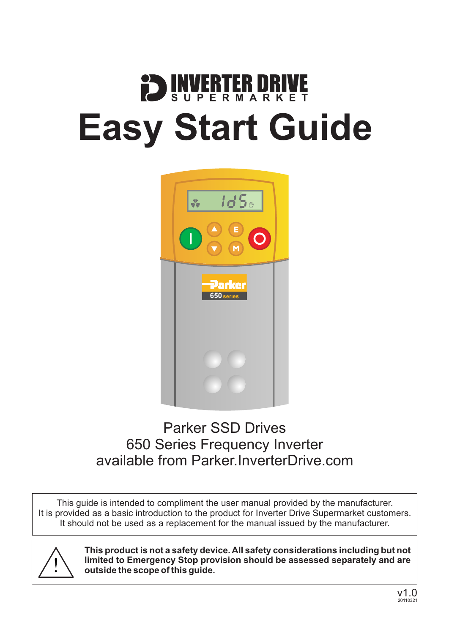# SUPERMARK K F **Easy Start Guide**



### Parker SSD Drives 650 Series Frequency Inverter available from [Parker.InverterDrive.com](http://parker.inverterdrive.com/)

This guide is intended to compliment the user manual provided by the manufacturer. It is provided as a basic introduction to the product for Inverter Drive Supermarket customers. It should not be used as a replacement for the manual issued by the manufacturer.



**This product is not a safety device. All safety considerations including but not limited to Emergency Stop provision should be assessed separately and are outside the scope of this guide.**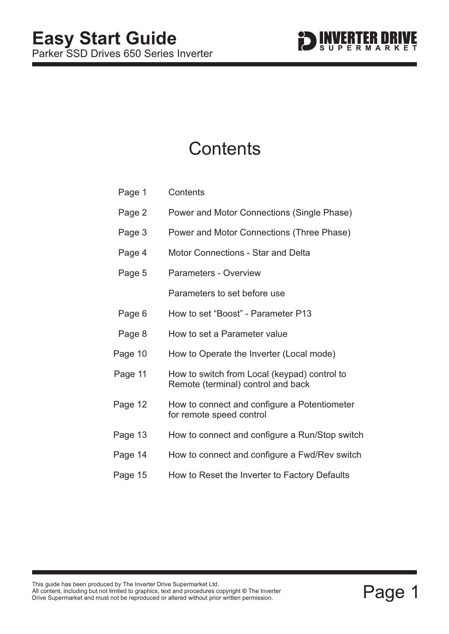

### **Contents**

| Page 1  | Contents                                                                           |  |
|---------|------------------------------------------------------------------------------------|--|
| Page 2  | Power and Motor Connections (Single Phase)                                         |  |
| Page 3  | Power and Motor Connections (Three Phase)                                          |  |
| Page 4  | <b>Motor Connections - Star and Delta</b>                                          |  |
| Page 5  | <b>Parameters - Overview</b>                                                       |  |
|         | Parameters to set before use                                                       |  |
| Page 6  | How to set "Boost" - Parameter P13                                                 |  |
| Page 8  | How to set a Parameter value                                                       |  |
| Page 10 | How to Operate the Inverter (Local mode)                                           |  |
| Page 11 | How to switch from Local (keypad) control to<br>Remote (terminal) control and back |  |
| Page 12 | How to connect and configure a Potentiometer<br>for remote speed control           |  |
| Page 13 | How to connect and configure a Run/Stop switch                                     |  |
| Page 14 | How to connect and configure a Fwd/Rev switch                                      |  |
| Page 15 | How to Reset the Inverter to Factory Defaults                                      |  |
|         |                                                                                    |  |

This guide has been produced by The Inverter Drive Supermarket Ltd.<br>All content, including but not limited to graphics, text and procedures copyright © The Inverter<br>Drive Supermarket and must not be reproduced or altered w All content, including but not limited to graphics, text and procedures copyright © The Inverter Drive Supermarket and must not be reproduced or altered without prior written permission. **©**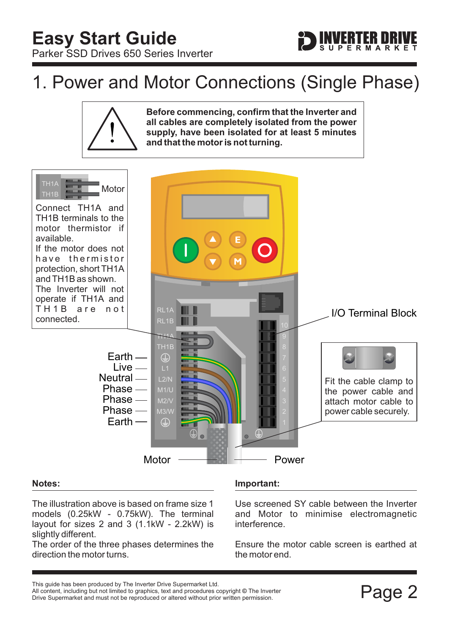### <span id="page-2-0"></span>1. Power and Motor Connections (Single Phase)





#### **Notes:**

The illustration above is based on frame size 1 models (0.25kW - 0.75kW). The terminal layout for sizes 2 and 3 (1.1kW - 2.2kW) is slightly different.

The order of the three phases determines the direction the motor turns.

#### **Important:**

Use screened SY cable between the Inverter and Motor to minimise electromagnetic interference.

Ensure the motor cable screen is earthed at the motor end.

This guide has been produced by The Inverter Drive Supermarket Ltd.<br>All content, including but not limited to graphics, text and procedures copyright © The Inverter<br>Drive Supermarket and must not be reproduced or altered w All content, including but not limited to graphics, text and procedures copyright © The Inverter Drive Supermarket and must not be reproduced or altered without prior written permission.

**ERTER DRI**<br>PERMARK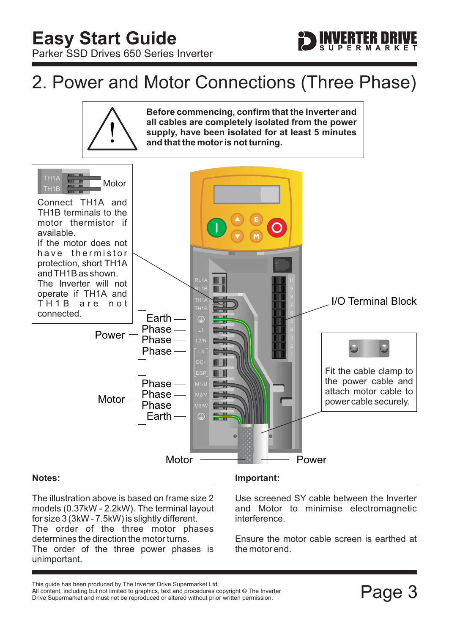### <span id="page-3-0"></span>2. Power and Motor Connections (Three Phase)



The illustration above is based on frame size 2 models (0.37kW - 2.2kW). The terminal layout for size 3 (3kW - 7.5kW) is slightly different. The order of the three motor phases determines the direction the motor turns. The order of the three power phases is unimportant.

#### **Important:**

Use screened SY cable between the Inverter and Motor to minimise electromagnetic interference.

Ensure the motor cable screen is earthed at the motor end.

This guide has been produced by The Inverter Drive Supermarket Ltd.<br>All content, including but not limited to graphics, text and procedures copyright © The Inverter<br>Drive Supermarket and must not be reproduced or altered w All content, including but not limited to graphics, text and procedures copyright © The Inverter Drive Supermarket and must not be reproduced or altered without prior written permission.

**ERTER DRI**<br>PERMARK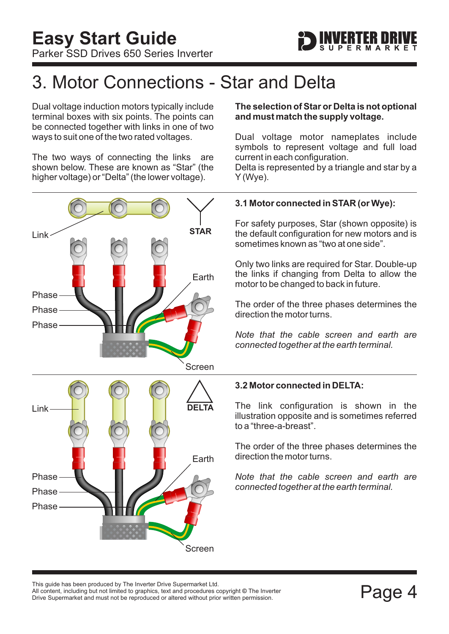

### <span id="page-4-0"></span>3. Motor Connections - Star and Delta

Dual voltage induction motors typically include terminal boxes with six points. The points can be connected together with links in one of two ways to suit one of the two rated voltages.

The two ways of connecting the links are shown below. These are known as "Star" (the higher voltage) or "Delta" (the lower voltage).



#### **The selection of Star or Delta is not optional and must match the supply voltage.**

Dual voltage motor nameplates include symbols to represent voltage and full load current in each configuration.

Delta is represented by a triangle and star by a Y (Wye).

#### **3.1 Motor connected in STAR (or Wye):**

For safety purposes, Star (shown opposite) is the default configuration for new motors and is sometimes known as "two at one side".

Only two links are required for Star. Double-up the links if changing from Delta to allow the motor to be changed to back in future.

The order of the three phases determines the direction the motor turns.

*Note that the cable screen and earth are connected together at the earth terminal.*

#### **3.2 Motor connected in DELTA:**

The link configuration is shown in the illustration opposite and is sometimes referred to a "three-a-breast".

The order of the three phases determines the direction the motor turns.

*Note that the cable screen and earth are connected together at the earth terminal.*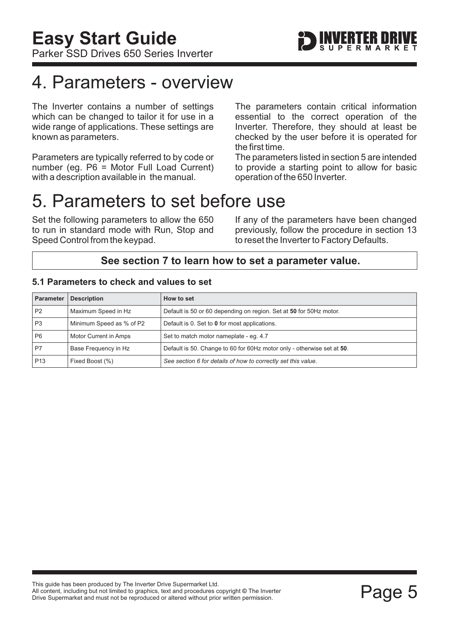### <span id="page-5-0"></span>4. Parameters - overview

The Inverter contains a number of settings which can be changed to tailor it for use in a wide range of applications. These settings are known as parameters.

Parameters are typically referred to by code or number (eg. P6 = Motor Full Load Current) with a description available in the manual.

The parameters contain critical information essential to the correct operation of the Inverter. Therefore, they should at least be checked by the user before it is operated for the first time.

The parameters listed in section 5 are intended to provide a starting point to allow for basic operation of the 650 Inverter.

### 5. Parameters to set before use

Set the following parameters to allow the 650 to run in standard mode with Run, Stop and Speed Control from the keypad.

If any of the parameters have been changed previously, follow the procedure in [section 13](#page-15-0) to reset the Inverter to Factory Defaults.

### **See [section 7](#page-8-0) to learn how to set a parameter value.**

#### **5.1 Parameters to check and values to set**

| <b>Parameter</b> | <b>Description</b>       | How to set                                                             |
|------------------|--------------------------|------------------------------------------------------------------------|
| P <sub>2</sub>   | Maximum Speed in Hz      | Default is 50 or 60 depending on region. Set at 50 for 50Hz motor.     |
| P <sub>3</sub>   | Minimum Speed as % of P2 | Default is 0. Set to 0 for most applications.                          |
| P <sub>6</sub>   | Motor Current in Amps    | Set to match motor nameplate - eq. 4.7                                 |
| P7               | Base Frequency in Hz     | Default is 50. Change to 60 for 60Hz motor only - otherwise set at 50. |
| P <sub>13</sub>  | Fixed Boost (%)          | See section 6 for details of how to correctly set this value.          |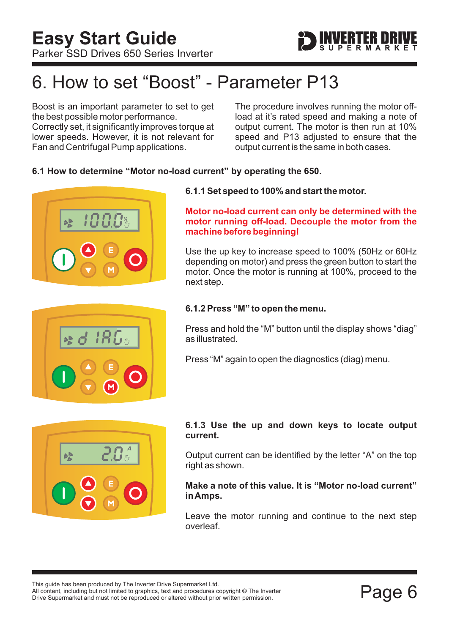

## <span id="page-6-0"></span>6. How to set "Boost" - Parameter P13

Boost is an important parameter to set to get the best possible motor performance. Correctly set, it significantly improves torque at lower speeds. However, it is not relevant for Fan and Centrifugal Pump applications.

The procedure involves running the motor offload at it's rated speed and making a note of output current. The motor is then run at 10% speed and P13 adjusted to ensure that the output current is the same in both cases.

#### **6.1 How to determine "Motor no-load current" by operating the 650.**





#### **6.1.1 Set speed to 100% and start the motor.**

#### **Motor no-load current can only be determined with the motor running off-load. Decouple the motor from the machine before beginning!**

Use the up key to increase speed to 100% (50Hz or 60Hz depending on motor) and press the green button to start the motor. Once the motor is running at 100%, proceed to the next step.

#### **6.1.2 Press "M" to open the menu.**

Press and hold the "M" button until the display shows "diag" as illustrated.

Press "M" again to open the diagnostics (diag) menu.



#### **6.1.3 Use the up and down keys to locate output current.**

Output current can be identified by the letter "A" on the top right as shown.

**Make a note of this value. It is "Motor no-load current" inAmps.**

Leave the motor running and continue to the next step overleaf.

This guide has been produced by The Inverter Drive Supermarket Ltd. All content, including but not limited to graphics, text and procedures copyright © The Inverter Drive Supermarket and must not be reproduced or altered without prior written permission.

Page 6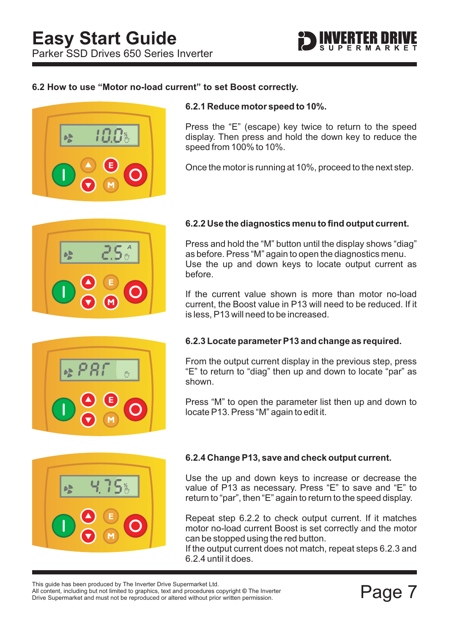

#### **6.2 How to use "Motor no-load current" to set Boost correctly.**



#### **6.2.1 Reduce motor speed to 10%.**

Press the "E" (escape) key twice to return to the speed display. Then press and hold the down key to reduce the speed from 100% to 10%.

Once the motor is running at 10%, proceed to the next step.



#### **6.2.2 Use the diagnostics menu to find output current.**

Press and hold the "M" button until the display shows "diag" as before. Press "M" again to open the diagnostics menu. Use the up and down keys to locate output current as before.

If the current value shown is more than motor no-load current, the Boost value in P13 will need to be reduced. If it is less, P13 will need to be increased.



#### **6.2.3 Locate parameter P13 and change as required.**

From the output current display in the previous step, press "E" to return to "diag" then up and down to locate "par" as shown.

Press "M" to open the parameter list then up and down to locate P13. Press "M" again to edit it.



#### **6.2.4 Change P13, save and check output current.**

Use the up and down keys to increase or decrease the value of P13 as necessary. Press "E" to save and "E" to return to "par", then "E" again to return to the speed display.

Repeat step 6.2.2 to check output current. If it matches motor no-load current Boost is set correctly and the motor can be stopped using the red button.

If the output current does not match, repeat steps 6.2.3 and 6.2.4 until it does.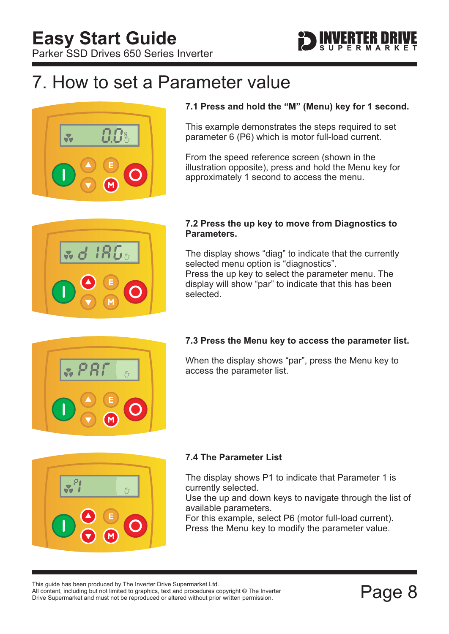<span id="page-8-0"></span>Parker SSD Drives 650 Series Inverter



### 7. How to set a Parameter value



#### **7.1 Press and hold the "M" (Menu) key for 1 second.**

This example demonstrates the steps required to set parameter 6 (P6) which is motor full-load current.

From the speed reference screen (shown in the illustration opposite), press and hold the Menu key for approximately 1 second to access the menu.



#### **7.2 Press the up key to move from Diagnostics to Parameters.**

The display shows "diag" to indicate that the currently selected menu option is "diagnostics". Press the up key to select the parameter menu. The display will show "par" to indicate that this has been selected.

#### **7.3 Press the Menu key to access the parameter list.**

When the display shows "par", press the Menu key to access the parameter list.



#### **7.4 The Parameter List**

The display shows P1 to indicate that Parameter 1 is currently selected.

Use the up and down keys to navigate through the list of available parameters.

For this example, select P6 (motor full-load current). Press the Menu key to modify the parameter value.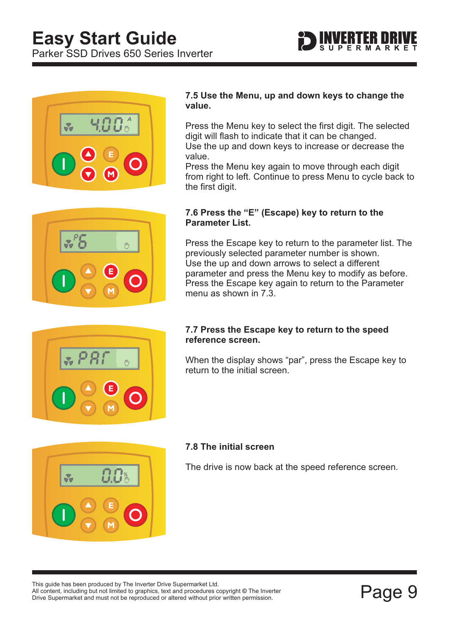



#### **7.5 Use the Menu, up and down keys to change the value.**

Press the Menu key to select the first digit. The selected digit will flash to indicate that it can be changed. Use the up and down keys to increase or decrease the value.

Press the Menu key again to move through each digit from right to left. Continue to press Menu to cycle back to the first digit.



#### **7.6 Press the "E" (Escape) key to return to the Parameter List.**

Press the Escape key to return to the parameter list. The previously selected parameter number is shown. Use the up and down arrows to select a different parameter and press the Menu key to modify as before. Press the Escape key again to return to the Parameter menu as shown in 7.3.



#### **7.7 Press the Escape key to return to the speed reference screen.**

When the display shows "par", press the Escape key to return to the initial screen.



#### **7.8 The initial screen**

The drive is now back at the speed reference screen.

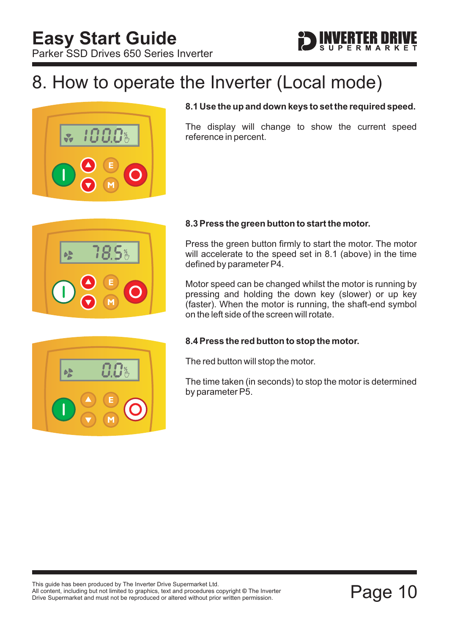

### <span id="page-10-0"></span>8. How to operate the Inverter (Local mode)



#### **8.1 Use the up and down keys to set the required speed.**

The display will change to show the current speed reference in percent.



 $A$ 

#### **8.3 Press the green button to start the motor.**

Press the green button firmly to start the motor. The motor will accelerate to the speed set in 8.1 (above) in the time defined by parameter P4.

Motor speed can be changed whilst the motor is running by pressing and holding the down key (slower) or up key (faster). When the motor is running, the shaft-end symbol on the left side of the screen will rotate.

#### **8.4 Press the red button to stop the motor.**

The red button will stop the motor.

The time taken (in seconds) to stop the motor is determined by parameter P5.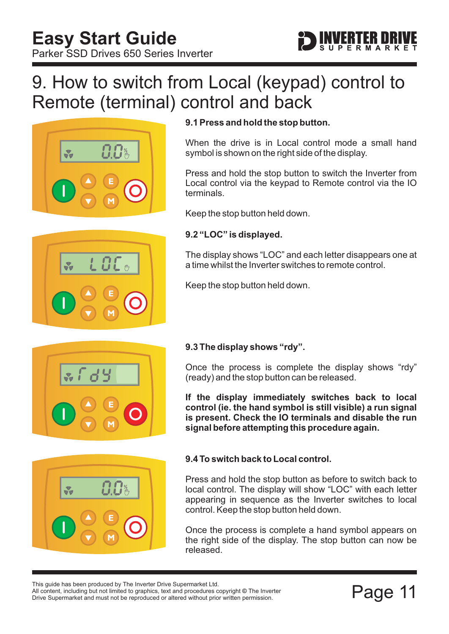### <span id="page-11-0"></span>9. How to switch from Local (keypad) control to Remote (terminal) control and back



### **9.1 Press and hold the stop button.**

When the drive is in Local control mode a small hand symbol is shown on the right side of the display.

Press and hold the stop button to switch the Inverter from Local control via the keypad to Remote control via the IO terminals.

Keep the stop button held down.

#### **9.2 "LOC" is displayed.**

The display shows "LOC" and each letter disappears one at a time whilst the Inverter switches to remote control.

Keep the stop button held down.



#### **9.3 The display shows "rdy".**

Once the process is complete the display shows "rdy" (ready) and the stop button can be released.

**If the display immediately switches back to local control (ie. the hand symbol is still visible) a run signal is present. Check the IO terminals and disable the run signal before attempting this procedure again.**



#### **9.4 To switch back to Local control.**

Press and hold the stop button as before to switch back to local control. The display will show "LOC" with each letter appearing in sequence as the Inverter switches to local control. Keep the stop button held down.

Once the process is complete a hand symbol appears on the right side of the display. The stop button can now be released.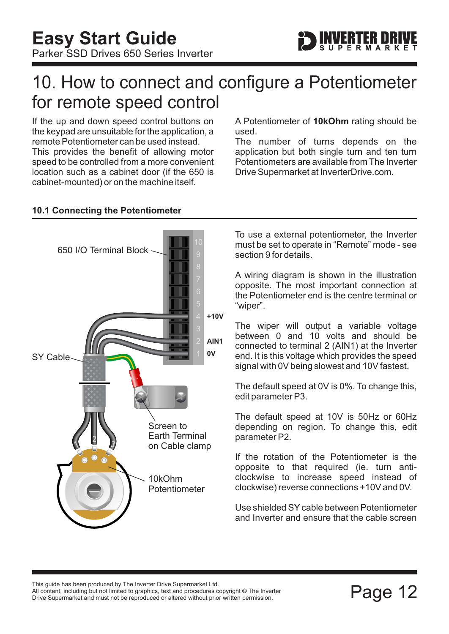### <span id="page-12-0"></span>10. How to connect and configure a Potentiometer for remote speed control

If the up and down speed control buttons on the keypad are unsuitable for the application, a remote Potentiometer can be used instead. This provides the benefit of allowing motor speed to be controlled from a more convenient location such as a cabinet door (if the 650 is cabinet-mounted) or on the machine itself.

A Potentiometer of 10kOhm rating should be used.

The number of turns depends on the application but both single turn and ten turn Potentiometers are available from The Inverter Drive Supermarket at InverterDrive.com.



### **10.1 Connecting the Potentiometer**

To use a external potentiometer, the Inverter must be set to operate in "Remote" mode - see [section 9](#page-11-0) for details.

A wiring diagram is shown in the illustration opposite. The most important connection at the Potentiometer end is the centre terminal or "wiper".

The wiper will output a variable voltage between 0 and 10 volts and should be connected to terminal 2 (AIN1) at the Inverter end. It is this voltage which provides the speed signal with 0V being slowest and 10V fastest.

The default speed at 0V is 0%. To change this, edit parameter P3.

The default speed at 10V is 50Hz or 60Hz depending on region. To change this, edit parameter P2.

If the rotation of the Potentiometer is the opposite to that required (ie. turn anticlockwise to increase speed instead of clockwise) reverse connections +10V and 0V.

Use shielded SY cable between Potentiometer and Inverter and ensure that the cable screen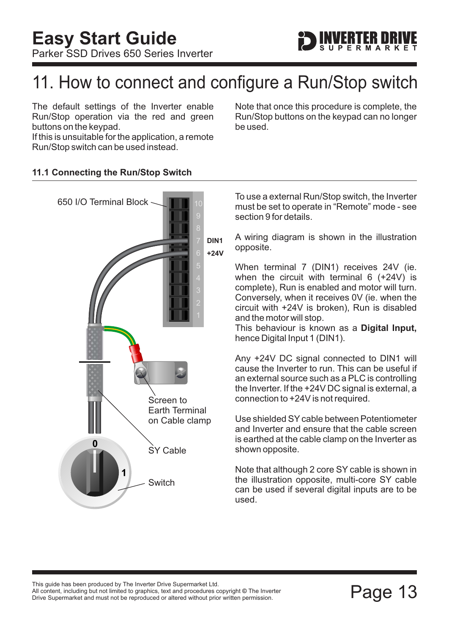

### <span id="page-13-0"></span>11. How to connect and configure a Run/Stop switch

The default settings of the Inverter enable Run/Stop operation via the red and green buttons on the keypad.

If this is unsuitable for the application, a remote Run/Stop switch can be used instead.

Note that once this procedure is complete, the Run/Stop buttons on the keypad can no longer be used.

#### **11.1 Connecting the Run/Stop Switch**



To use a external Run/Stop switch, the Inverter must be set to operate in "Remote" mode - see [section 9](#page-11-0) for details.

A wiring diagram is shown in the illustration opposite.

When terminal 7 (DIN1) receives 24V (ie. when the circuit with terminal 6 (+24V) is complete), Run is enabled and motor will turn. Conversely, when it receives 0V (ie. when the circuit with +24V is broken), Run is disabled and the motor will stop.

This behaviour is known as a **Digital Input,** hence Digital Input 1 (DIN1).

Any +24V DC signal connected to DIN1 will cause the Inverter to run. This can be useful if an external source such as a PLC is controlling the Inverter. If the +24V DC signal is external, a connection to +24V is not required.

Use shielded SY cable between Potentiometer and Inverter and ensure that the cable screen is earthed at the cable clamp on the Inverter as shown opposite.

Note that although 2 core SY cable is shown in the illustration opposite, multi-core SY cable can be used if several digital inputs are to be used.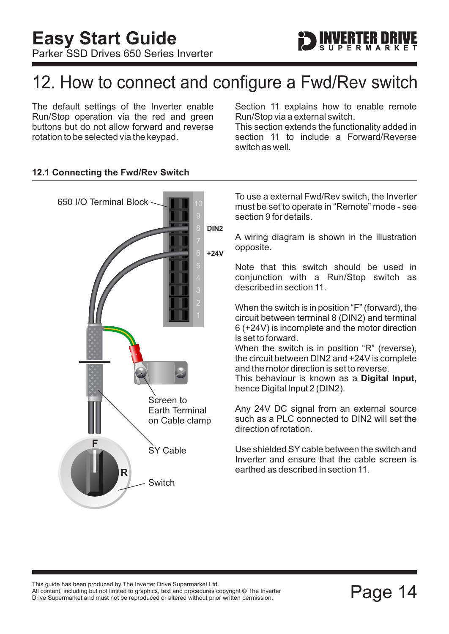## <span id="page-14-0"></span>12. How to connect and configure a Fwd/Rev switch

The default settings of the Inverter enable Run/Stop operation via the red and green buttons but do not allow forward and reverse rotation to be selected via the keypad.

[Section 11](#page-13-0) explains how to enable remote Run/Stop via a external switch.

This section extends the functionality added in [section 11](#page-13-0) to include a Forward/Reverse switch as well.



#### **12.1 Connecting the Fwd/Rev Switch**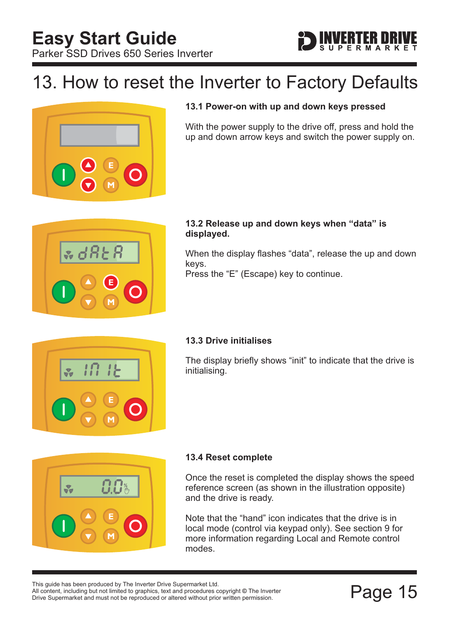### <span id="page-15-0"></span>13. How to reset the Inverter to Factory Defaults



#### **13.1 Power-on with up and down keys pressed**

With the power supply to the drive off, press and hold the up and down arrow keys and switch the power supply on.



#### **13.2 Release up and down keys when "data" is displayed.**

When the display flashes "data", release the up and down keys. Press the "E" (Escape) key to continue.



#### **13.3 Drive initialises**

The display briefly shows "init" to indicate that the drive is initialising.



#### **13.4 Reset complete**

Once the reset is completed the display shows the speed reference screen (as shown in the illustration opposite) and the drive is ready.

Note that the "hand" icon indicates that the drive is in local mode (control via keypad only). See [section 9](#page-11-0) for more information regarding Local and Remote control modes.